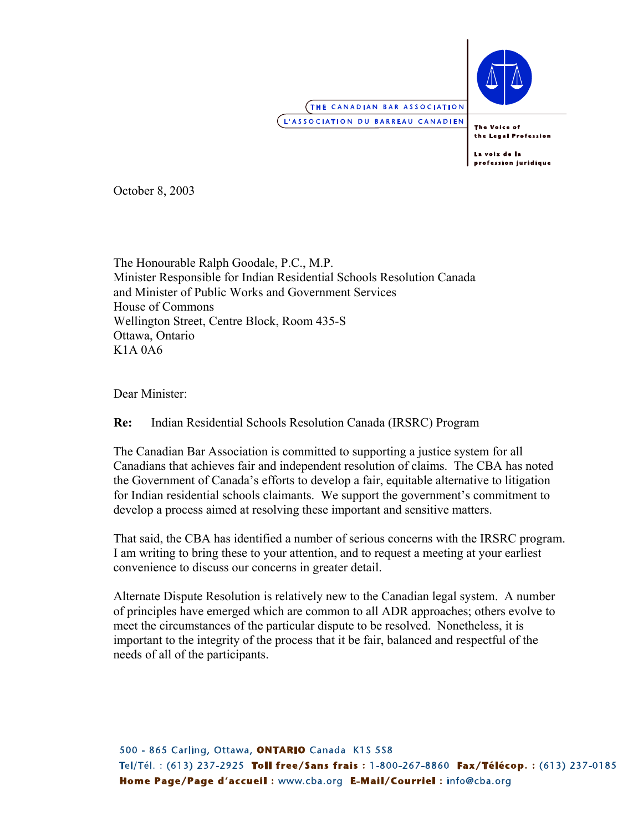

**THE CANADIAN BAR ASSOCIATION** L'ASSOCIATION DU BARREAU CANADIEN

The Voice of the Legal Profession

La voix de la profession juridique

October 8, 2003

The Honourable Ralph Goodale, P.C., M.P. Minister Responsible for Indian Residential Schools Resolution Canada and Minister of Public Works and Government Services House of Commons Wellington Street, Centre Block, Room 435-S Ottawa, Ontario K1A 0A6

Dear Minister:

**Re:** Indian Residential Schools Resolution Canada (IRSRC) Program

The Canadian Bar Association is committed to supporting a justice system for all Canadians that achieves fair and independent resolution of claims. The CBA has noted the Government of Canada's efforts to develop a fair, equitable alternative to litigation for Indian residential schools claimants. We support the government's commitment to develop a process aimed at resolving these important and sensitive matters.

That said, the CBA has identified a number of serious concerns with the IRSRC program. I am writing to bring these to your attention, and to request a meeting at your earliest convenience to discuss our concerns in greater detail.

Alternate Dispute Resolution is relatively new to the Canadian legal system. A number of principles have emerged which are common to all ADR approaches; others evolve to meet the circumstances of the particular dispute to be resolved. Nonetheless, it is important to the integrity of the process that it be fair, balanced and respectful of the needs of all of the participants.